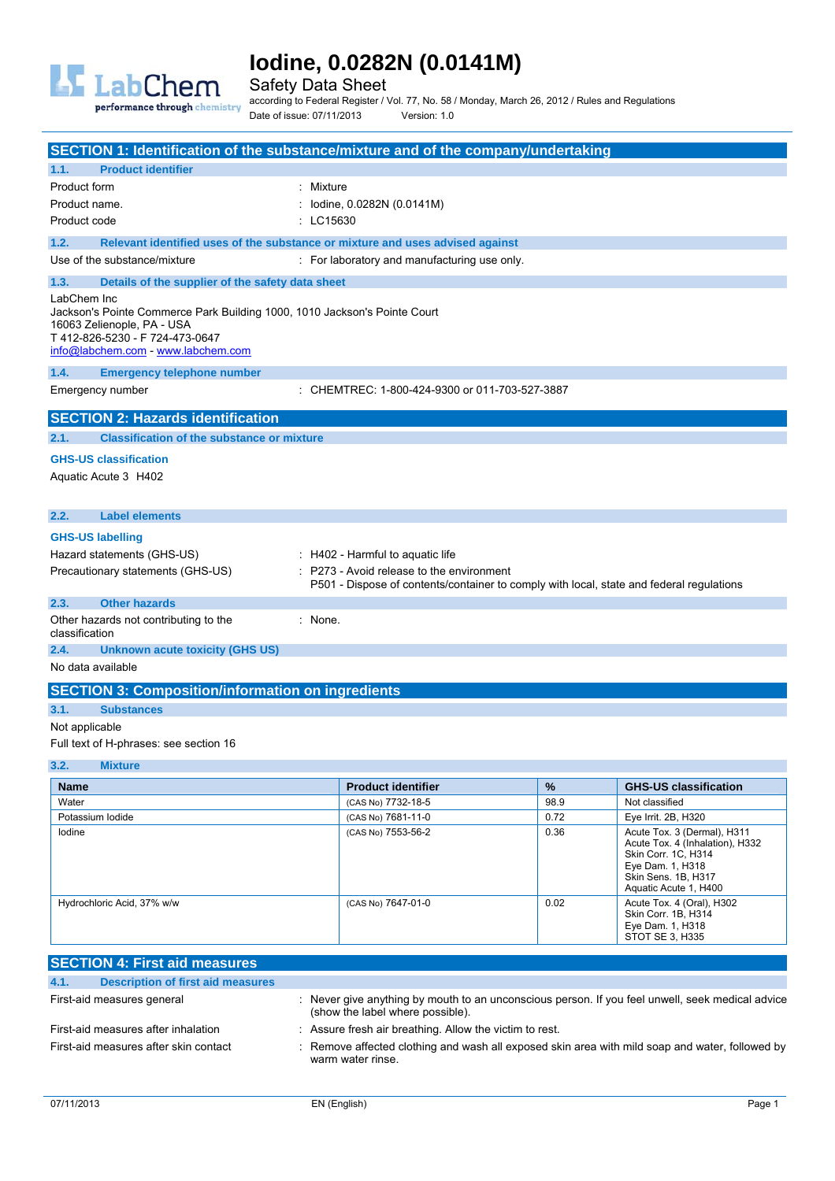

Safety Data Sheet

according to Federal Register / Vol. 77, No. 58 / Monday, March 26, 2012 / Rules and Regulations Date of issue: 07/11/2013 Version: 1.0

|                                                                                                                                                                                                 | SECTION 1: Identification of the substance/mixture and of the company/undertaking                                                   |
|-------------------------------------------------------------------------------------------------------------------------------------------------------------------------------------------------|-------------------------------------------------------------------------------------------------------------------------------------|
| <b>Product identifier</b><br>1.1.                                                                                                                                                               |                                                                                                                                     |
| Product form                                                                                                                                                                                    | Mixture                                                                                                                             |
| Product name.                                                                                                                                                                                   | lodine, 0.0282N (0.0141M)                                                                                                           |
| Product code                                                                                                                                                                                    | : LC15630                                                                                                                           |
| 1.2.                                                                                                                                                                                            | Relevant identified uses of the substance or mixture and uses advised against                                                       |
| Use of the substance/mixture                                                                                                                                                                    | : For laboratory and manufacturing use only.                                                                                        |
| 1.3.<br>Details of the supplier of the safety data sheet                                                                                                                                        |                                                                                                                                     |
| LabChem Inc<br>Jackson's Pointe Commerce Park Building 1000, 1010 Jackson's Pointe Court<br>16063 Zelienople, PA - USA<br>T 412-826-5230 - F 724-473-0647<br>info@labchem.com - www.labchem.com |                                                                                                                                     |
| 1.4.<br><b>Emergency telephone number</b>                                                                                                                                                       |                                                                                                                                     |
| Emergency number                                                                                                                                                                                | : CHEMTREC: 1-800-424-9300 or 011-703-527-3887                                                                                      |
| <b>SECTION 2: Hazards identification</b>                                                                                                                                                        |                                                                                                                                     |
| <b>Classification of the substance or mixture</b><br>2.1.                                                                                                                                       |                                                                                                                                     |
| <b>GHS-US classification</b>                                                                                                                                                                    |                                                                                                                                     |
| Aquatic Acute 3 H402                                                                                                                                                                            |                                                                                                                                     |
| 2.2.<br><b>Label elements</b>                                                                                                                                                                   |                                                                                                                                     |
| <b>GHS-US labelling</b>                                                                                                                                                                         |                                                                                                                                     |
| Hazard statements (GHS-US)                                                                                                                                                                      | : H402 - Harmful to aquatic life                                                                                                    |
| Precautionary statements (GHS-US)                                                                                                                                                               | P273 - Avoid release to the environment<br>P501 - Dispose of contents/container to comply with local, state and federal regulations |
| <b>Other hazards</b><br>2.3.                                                                                                                                                                    |                                                                                                                                     |
| Other hazards not contributing to the<br>classification                                                                                                                                         | : None.                                                                                                                             |
| 2.4.<br><b>Unknown acute toxicity (GHS US)</b>                                                                                                                                                  |                                                                                                                                     |
| No data available                                                                                                                                                                               |                                                                                                                                     |
| <b>SECTION 3: Composition/information on ingredients</b>                                                                                                                                        |                                                                                                                                     |
| <b>Substances</b><br>3.1.                                                                                                                                                                       |                                                                                                                                     |
| Not applicable                                                                                                                                                                                  |                                                                                                                                     |
| Full text of H-phrases: see section 16                                                                                                                                                          |                                                                                                                                     |
| 3.2.<br><b>Mixture</b>                                                                                                                                                                          |                                                                                                                                     |

| <b>Name</b>                | <b>Product identifier</b> | $\frac{9}{6}$ | <b>GHS-US classification</b>                                                                                                                              |
|----------------------------|---------------------------|---------------|-----------------------------------------------------------------------------------------------------------------------------------------------------------|
| Water                      | (CAS No) 7732-18-5        | 98.9          | Not classified                                                                                                                                            |
| Potassium lodide           | (CAS No) 7681-11-0        | 0.72          | Eye Irrit. 2B, H320                                                                                                                                       |
| lodine                     | (CAS No) 7553-56-2        | 0.36          | Acute Tox. 3 (Dermal), H311<br>Acute Tox. 4 (Inhalation), H332<br>Skin Corr. 1C, H314<br>Eye Dam. 1, H318<br>Skin Sens. 1B, H317<br>Aquatic Acute 1, H400 |
| Hydrochloric Acid, 37% w/w | (CAS No) 7647-01-0        | 0.02          | Acute Tox. 4 (Oral), H302<br>Skin Corr. 1B, H314<br>Eye Dam. 1, H318<br>STOT SE 3, H335                                                                   |

| <b>SECTION 4: First aid measures</b>             |                                                                                                                                      |
|--------------------------------------------------|--------------------------------------------------------------------------------------------------------------------------------------|
| 4.1.<br><b>Description of first aid measures</b> |                                                                                                                                      |
| First-aid measures general                       | : Never give anything by mouth to an unconscious person. If you feel unwell, seek medical advice<br>(show the label where possible). |
| First-aid measures after inhalation              | : Assure fresh air breathing. Allow the victim to rest.                                                                              |
| First-aid measures after skin contact            | Remove affected clothing and wash all exposed skin area with mild soap and water, followed by<br>warm water rinse.                   |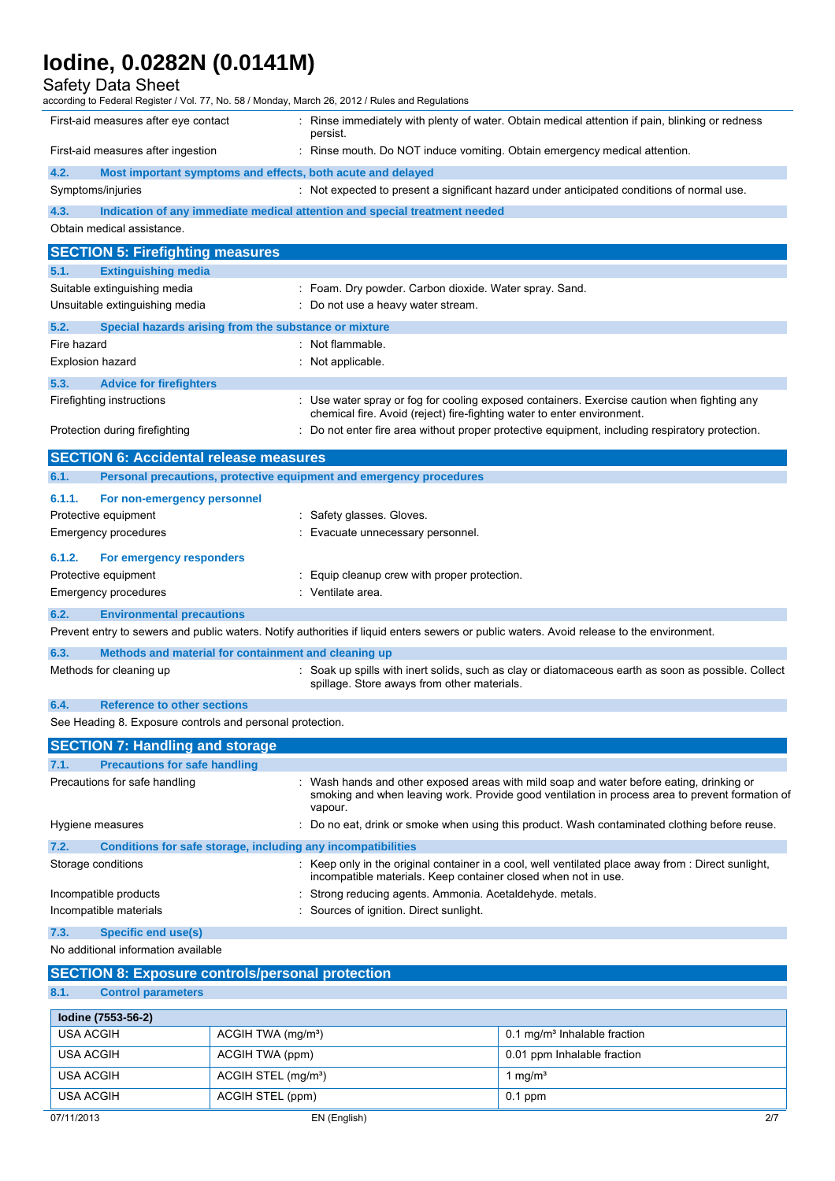### Safety Data Sheet

| according to Federal Register / Vol. 77, No. 58 / Monday, March 26, 2012 / Rules and Regulations |                                                                                                                                                                                                        |
|--------------------------------------------------------------------------------------------------|--------------------------------------------------------------------------------------------------------------------------------------------------------------------------------------------------------|
| First-aid measures after eye contact                                                             | : Rinse immediately with plenty of water. Obtain medical attention if pain, blinking or redness<br>persist.                                                                                            |
| First-aid measures after ingestion                                                               | Rinse mouth. Do NOT induce vomiting. Obtain emergency medical attention.                                                                                                                               |
| 4.2.<br>Most important symptoms and effects, both acute and delayed                              |                                                                                                                                                                                                        |
| Symptoms/injuries                                                                                | : Not expected to present a significant hazard under anticipated conditions of normal use.                                                                                                             |
| 4.3.                                                                                             | Indication of any immediate medical attention and special treatment needed                                                                                                                             |
| Obtain medical assistance.                                                                       |                                                                                                                                                                                                        |
| <b>SECTION 5: Firefighting measures</b>                                                          |                                                                                                                                                                                                        |
| 5.1.<br><b>Extinguishing media</b>                                                               |                                                                                                                                                                                                        |
| Suitable extinguishing media                                                                     | Foam. Dry powder. Carbon dioxide. Water spray. Sand.                                                                                                                                                   |
| Unsuitable extinguishing media                                                                   | Do not use a heavy water stream.                                                                                                                                                                       |
| 5.2.<br>Special hazards arising from the substance or mixture                                    |                                                                                                                                                                                                        |
| Fire hazard                                                                                      | : Not flammable.                                                                                                                                                                                       |
| <b>Explosion hazard</b>                                                                          | Not applicable.                                                                                                                                                                                        |
| 5.3.<br><b>Advice for firefighters</b>                                                           |                                                                                                                                                                                                        |
| Firefighting instructions                                                                        | Use water spray or fog for cooling exposed containers. Exercise caution when fighting any                                                                                                              |
|                                                                                                  | chemical fire. Avoid (reject) fire-fighting water to enter environment.                                                                                                                                |
| Protection during firefighting                                                                   | Do not enter fire area without proper protective equipment, including respiratory protection.                                                                                                          |
| <b>SECTION 6: Accidental release measures</b>                                                    |                                                                                                                                                                                                        |
| 6.1.<br>Personal precautions, protective equipment and emergency procedures                      |                                                                                                                                                                                                        |
| 6.1.1.<br>For non-emergency personnel                                                            |                                                                                                                                                                                                        |
| Protective equipment                                                                             | Safety glasses. Gloves.                                                                                                                                                                                |
| Emergency procedures                                                                             | Evacuate unnecessary personnel.                                                                                                                                                                        |
| 6.1.2.<br>For emergency responders                                                               |                                                                                                                                                                                                        |
| Protective equipment                                                                             | Equip cleanup crew with proper protection.                                                                                                                                                             |
| Emergency procedures                                                                             | Ventilate area.                                                                                                                                                                                        |
|                                                                                                  |                                                                                                                                                                                                        |
| 6.2.<br><b>Environmental precautions</b>                                                         | Prevent entry to sewers and public waters. Notify authorities if liquid enters sewers or public waters. Avoid release to the environment.                                                              |
|                                                                                                  |                                                                                                                                                                                                        |
| 6.3.<br>Methods and material for containment and cleaning up                                     |                                                                                                                                                                                                        |
| Methods for cleaning up                                                                          | Soak up spills with inert solids, such as clay or diatomaceous earth as soon as possible. Collect<br>spillage. Store aways from other materials.                                                       |
| 6.4.<br><b>Reference to other sections</b>                                                       |                                                                                                                                                                                                        |
| See Heading 8. Exposure controls and personal protection.                                        |                                                                                                                                                                                                        |
| <b>SECTION 7: Handling and storage</b>                                                           |                                                                                                                                                                                                        |
| <b>Precautions for safe handling</b><br>7.1.                                                     |                                                                                                                                                                                                        |
| Precautions for safe handling                                                                    | : Wash hands and other exposed areas with mild soap and water before eating, drinking or<br>smoking and when leaving work. Provide good ventilation in process area to prevent formation of<br>vapour. |
| Hygiene measures                                                                                 | : Do no eat, drink or smoke when using this product. Wash contaminated clothing before reuse.                                                                                                          |
| 7.2.<br>Conditions for safe storage, including any incompatibilities                             |                                                                                                                                                                                                        |
| Storage conditions                                                                               | Keep only in the original container in a cool, well ventilated place away from : Direct sunlight,<br>incompatible materials. Keep container closed when not in use.                                    |
| Incompatible products                                                                            | Strong reducing agents. Ammonia. Acetaldehyde. metals.                                                                                                                                                 |
| Incompatible materials                                                                           | Sources of ignition. Direct sunlight.                                                                                                                                                                  |
| 7.3.<br><b>Specific end use(s)</b>                                                               |                                                                                                                                                                                                        |
| No additional information available                                                              |                                                                                                                                                                                                        |
| <b>SECTION 8: Exposure controls/personal protection</b>                                          |                                                                                                                                                                                                        |

# **8.1. Control parameters**

| lodine (7553-56-2) |                                 |                                          |
|--------------------|---------------------------------|------------------------------------------|
| USA ACGIH          | ACGIH TWA (mg/m <sup>3</sup> )  | 0.1 mg/m <sup>3</sup> Inhalable fraction |
| USA ACGIH          | ACGIH TWA (ppm)                 | 0.01 ppm Inhalable fraction              |
| USA ACGIH          | ACGIH STEL (mg/m <sup>3</sup> ) | 1 mg/ $m3$                               |
| USA ACGIH          | ACGIH STEL (ppm)                | $0.1$ ppm                                |

Ĭ.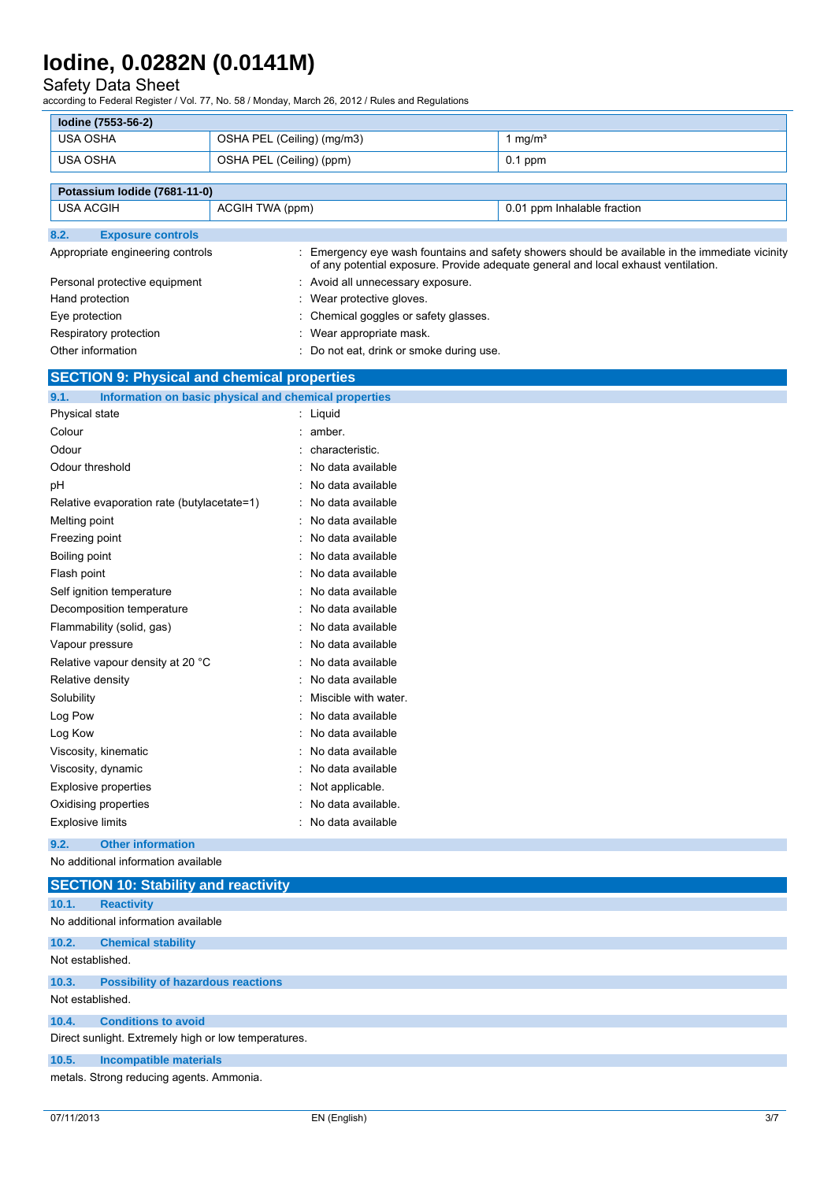### Safety Data Sheet

according to Federal Register / Vol. 77, No. 58 / Monday, March 26, 2012 / Rules and Regulations

| lodine (7553-56-2) |                            |                   |
|--------------------|----------------------------|-------------------|
| USA OSHA           | OSHA PEL (Ceiling) (mg/m3) | mg/m <sup>3</sup> |
| USA OSHA           | OSHA PEL (Ceiling) (ppm)   | $0.1$ ppm         |
|                    |                            |                   |

|                   | Potassium Iodide (7681-11-0)     |                 |                                        |                                                                                                                                                                                     |
|-------------------|----------------------------------|-----------------|----------------------------------------|-------------------------------------------------------------------------------------------------------------------------------------------------------------------------------------|
| USA ACGIH         |                                  | ACGIH TWA (ppm) |                                        | 0.01 ppm Inhalable fraction                                                                                                                                                         |
| 8.2.              | <b>Exposure controls</b>         |                 |                                        |                                                                                                                                                                                     |
|                   | Appropriate engineering controls |                 |                                        | Emergency eye wash fountains and safety showers should be available in the immediate vicinity<br>of any potential exposure. Provide adequate general and local exhaust ventilation. |
|                   | Personal protective equipment    |                 | : Avoid all unnecessary exposure.      |                                                                                                                                                                                     |
| Hand protection   |                                  |                 | Wear protective gloves.                |                                                                                                                                                                                     |
| Eye protection    |                                  |                 | : Chemical goggles or safety glasses.  |                                                                                                                                                                                     |
|                   | Respiratory protection           |                 | Wear appropriate mask.                 |                                                                                                                                                                                     |
| Other information |                                  |                 | Do not eat, drink or smoke during use. |                                                                                                                                                                                     |

# **SECTION 9: Physical and chemical properties**

| 9.1.<br>Information on basic physical and chemical properties |                      |
|---------------------------------------------------------------|----------------------|
| Physical state                                                | : Liquid             |
| Colour                                                        | amber.               |
| Odour                                                         | characteristic.      |
| Odour threshold                                               | No data available    |
| рH                                                            | : No data available  |
| Relative evaporation rate (butylacetate=1)                    | No data available    |
| Melting point                                                 | No data available    |
| Freezing point                                                | No data available    |
| Boiling point                                                 | No data available    |
| Flash point                                                   | No data available    |
| Self ignition temperature                                     | No data available    |
| Decomposition temperature                                     | No data available    |
| Flammability (solid, gas)                                     | No data available    |
| Vapour pressure                                               | No data available    |
| Relative vapour density at 20 °C                              | No data available    |
| Relative density                                              | No data available    |
| Solubility                                                    | Miscible with water. |
| Log Pow                                                       | No data available    |
| Log Kow                                                       | No data available    |
| Viscosity, kinematic                                          | No data available    |
| Viscosity, dynamic                                            | No data available    |
| <b>Explosive properties</b>                                   | Not applicable.      |
| Oxidising properties                                          | No data available.   |
| <b>Explosive limits</b>                                       | No data available    |
| <b>Other information</b><br>9.2.                              |                      |

No additional information available

|                  | <b>SECTION 10: Stability and reactivity</b>          |
|------------------|------------------------------------------------------|
| 10.1.            | <b>Reactivity</b>                                    |
|                  | No additional information available                  |
| 10.2.            | <b>Chemical stability</b>                            |
| Not established. |                                                      |
| 10.3.            | <b>Possibility of hazardous reactions</b>            |
| Not established. |                                                      |
| 10.4.            | <b>Conditions to avoid</b>                           |
|                  | Direct sunlight. Extremely high or low temperatures. |
| 10.5.            | <b>Incompatible materials</b>                        |
|                  | metals. Strong reducing agents. Ammonia.             |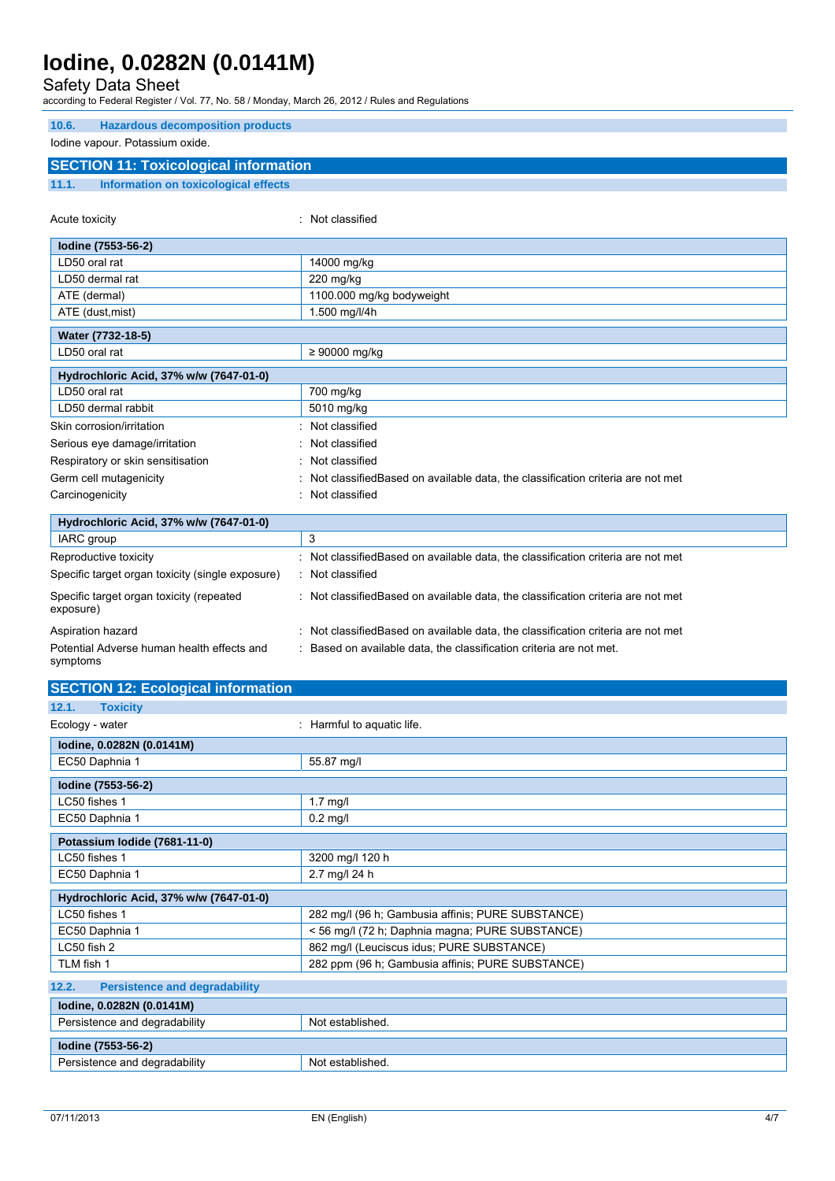# Safety Data Sheet

according to Federal Register / Vol. 77, No. 58 / Monday, March 26, 2012 / Rules and Regulations

| <b>Hazardous decomposition products</b><br>10.6.       |                                                                                   |
|--------------------------------------------------------|-----------------------------------------------------------------------------------|
| lodine vapour. Potassium oxide.                        |                                                                                   |
| <b>SECTION 11: Toxicological information</b>           |                                                                                   |
| 11.1.<br><b>Information on toxicological effects</b>   |                                                                                   |
|                                                        |                                                                                   |
| Acute toxicity                                         | : Not classified                                                                  |
| Iodine (7553-56-2)                                     |                                                                                   |
| LD50 oral rat                                          | 14000 mg/kg                                                                       |
| LD50 dermal rat                                        | 220 mg/kg                                                                         |
| ATE (dermal)                                           | 1100.000 mg/kg bodyweight                                                         |
| ATE (dust, mist)                                       | 1.500 mg/l/4h                                                                     |
| Water (7732-18-5)                                      |                                                                                   |
| LD50 oral rat                                          | $\geq 90000$ mg/kg                                                                |
| Hydrochloric Acid, 37% w/w (7647-01-0)                 |                                                                                   |
| LD50 oral rat                                          | 700 mg/kg                                                                         |
| LD50 dermal rabbit                                     | 5010 mg/kg                                                                        |
| Skin corrosion/irritation                              | Not classified                                                                    |
| Serious eye damage/irritation                          | Not classified                                                                    |
| Respiratory or skin sensitisation                      | Not classified                                                                    |
| Germ cell mutagenicity                                 | Not classified Based on available data, the classification criteria are not met   |
| Carcinogenicity                                        | : Not classified                                                                  |
| Hydrochloric Acid, 37% w/w (7647-01-0)                 |                                                                                   |
| IARC group                                             | 3                                                                                 |
| Reproductive toxicity                                  | : Not classifiedBased on available data, the classification criteria are not met  |
| Specific target organ toxicity (single exposure)       | : Not classified                                                                  |
| Specific target organ toxicity (repeated<br>exposure)  | : Not classified Based on available data, the classification criteria are not met |
| Aspiration hazard                                      | : Not classified Based on available data, the classification criteria are not met |
| Potential Adverse human health effects and<br>symptoms | : Based on available data, the classification criteria are not met.               |
| <b>SECTION 12: Ecological information</b>              |                                                                                   |
| <b>Toxicity</b><br>12.1.                               |                                                                                   |
| Ecology - water                                        | : Harmful to aquatic life.                                                        |
| lodine, 0.0282N (0.0141M)                              |                                                                                   |
| EC50 Daphnia 1                                         | 55.87 mg/l                                                                        |
| Iodine (7553-56-2)                                     |                                                                                   |
| LC50 fishes 1                                          | $1.7$ mg/l                                                                        |
| EC50 Daphnia 1                                         | $0.2$ mg/l                                                                        |
| Potassium Iodide (7681-11-0)                           |                                                                                   |

| LC50 fishes 1                                 | 3200 mg/l 120 h                                   |
|-----------------------------------------------|---------------------------------------------------|
| EC50 Daphnia 1                                | 2.7 mg/l 24 h                                     |
| Hydrochloric Acid, 37% w/w (7647-01-0)        |                                                   |
| LC50 fishes 1                                 | 282 mg/l (96 h; Gambusia affinis; PURE SUBSTANCE) |
| EC50 Daphnia 1                                | < 56 mg/l (72 h; Daphnia magna; PURE SUBSTANCE)   |
| $LC50$ fish $2$                               | 862 mg/l (Leuciscus idus: PURE SUBSTANCE)         |
| TLM fish 1                                    | 282 ppm (96 h; Gambusia affinis; PURE SUBSTANCE)  |
| 12.2.<br><b>Persistence and degradability</b> |                                                   |

| lodine, 0.0282N (0.0141M)     |                  |
|-------------------------------|------------------|
| Persistence and degradability | Not established. |
| lodine (7553-56-2)            |                  |
| Persistence and degradability | Not established. |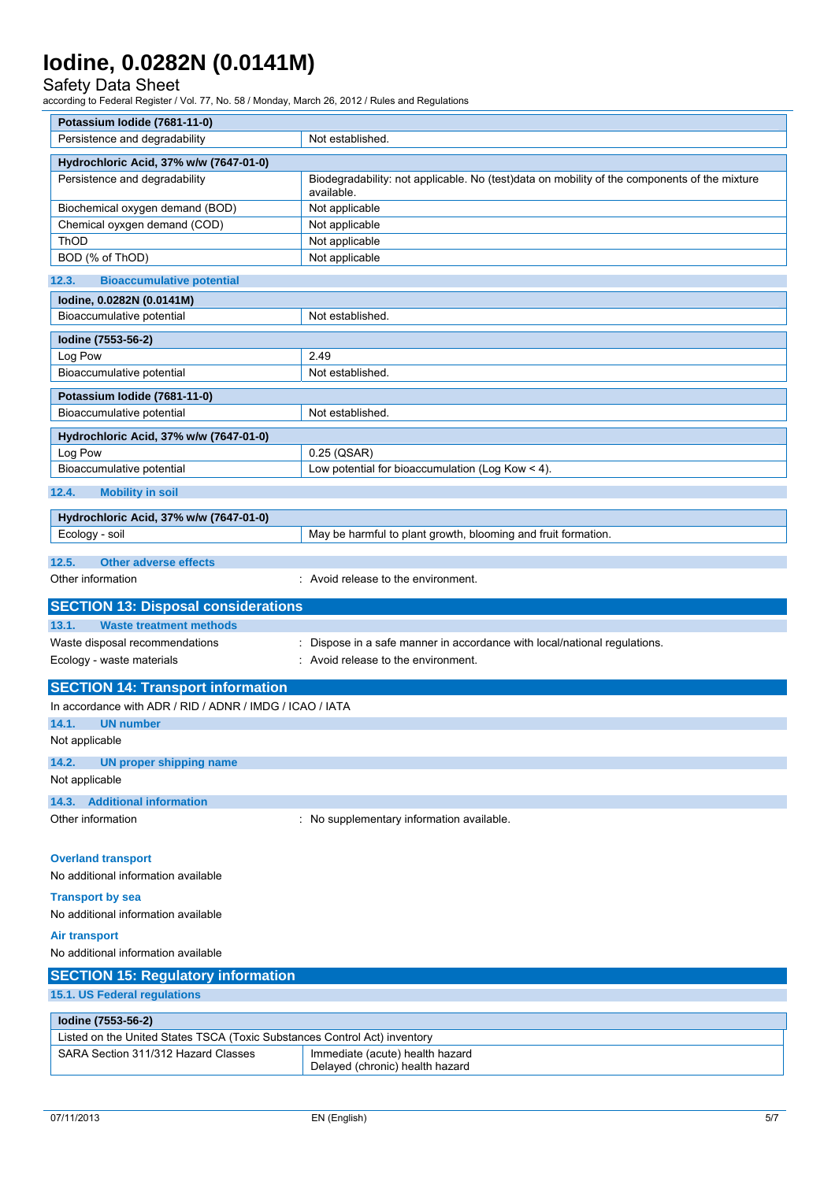### Safety Data Sheet

according to Federal Register / Vol. 77, No. 58 / Monday, March 26, 2012 / Rules and Regulations

| Potassium Iodide (7681-11-0)                                                                                     |                                                                                                            |  |  |
|------------------------------------------------------------------------------------------------------------------|------------------------------------------------------------------------------------------------------------|--|--|
| Persistence and degradability                                                                                    | Not established.                                                                                           |  |  |
| Hydrochloric Acid, 37% w/w (7647-01-0)                                                                           |                                                                                                            |  |  |
| Persistence and degradability                                                                                    | Biodegradability: not applicable. No (test)data on mobility of the components of the mixture<br>available. |  |  |
| Biochemical oxygen demand (BOD)                                                                                  | Not applicable                                                                                             |  |  |
| Chemical oyxgen demand (COD)                                                                                     | Not applicable                                                                                             |  |  |
| ThOD                                                                                                             | Not applicable                                                                                             |  |  |
| BOD (% of ThOD)                                                                                                  | Not applicable                                                                                             |  |  |
| 12.3.<br><b>Bioaccumulative potential</b>                                                                        |                                                                                                            |  |  |
| lodine, 0.0282N (0.0141M)                                                                                        |                                                                                                            |  |  |
| Bioaccumulative potential                                                                                        | Not established.                                                                                           |  |  |
| Iodine (7553-56-2)                                                                                               |                                                                                                            |  |  |
| Log Pow                                                                                                          | 2.49                                                                                                       |  |  |
| Bioaccumulative potential                                                                                        | Not established.                                                                                           |  |  |
| Potassium lodide (7681-11-0)                                                                                     |                                                                                                            |  |  |
| Bioaccumulative potential                                                                                        | Not established.                                                                                           |  |  |
| Hydrochloric Acid, 37% w/w (7647-01-0)                                                                           |                                                                                                            |  |  |
| Log Pow                                                                                                          | 0.25 (QSAR)                                                                                                |  |  |
| Bioaccumulative potential                                                                                        | Low potential for bioaccumulation (Log Kow < 4).                                                           |  |  |
|                                                                                                                  |                                                                                                            |  |  |
| 12.4.<br><b>Mobility in soil</b>                                                                                 |                                                                                                            |  |  |
| Hydrochloric Acid, 37% w/w (7647-01-0)                                                                           |                                                                                                            |  |  |
| Ecology - soil                                                                                                   | May be harmful to plant growth, blooming and fruit formation.                                              |  |  |
| 12.5.<br><b>Other adverse effects</b>                                                                            |                                                                                                            |  |  |
| Other information                                                                                                | : Avoid release to the environment.                                                                        |  |  |
|                                                                                                                  |                                                                                                            |  |  |
|                                                                                                                  |                                                                                                            |  |  |
| <b>SECTION 13: Disposal considerations</b>                                                                       |                                                                                                            |  |  |
| 13.1.<br><b>Waste treatment methods</b>                                                                          |                                                                                                            |  |  |
| Waste disposal recommendations                                                                                   | Dispose in a safe manner in accordance with local/national regulations.                                    |  |  |
| Ecology - waste materials                                                                                        | : Avoid release to the environment.                                                                        |  |  |
| <b>SECTION 14: Transport information</b>                                                                         |                                                                                                            |  |  |
| In accordance with ADR / RID / ADNR / IMDG / ICAO / IATA                                                         |                                                                                                            |  |  |
| 14.1.<br><b>UN number</b>                                                                                        |                                                                                                            |  |  |
| Not applicable                                                                                                   |                                                                                                            |  |  |
|                                                                                                                  |                                                                                                            |  |  |
| 14.2.<br><b>UN proper shipping name</b>                                                                          |                                                                                                            |  |  |
| Not applicable                                                                                                   |                                                                                                            |  |  |
| 14.3. Additional information                                                                                     |                                                                                                            |  |  |
| Other information                                                                                                | No supplementary information available.                                                                    |  |  |
| <b>Overland transport</b>                                                                                        |                                                                                                            |  |  |
| No additional information available                                                                              |                                                                                                            |  |  |
|                                                                                                                  |                                                                                                            |  |  |
| <b>Transport by sea</b>                                                                                          |                                                                                                            |  |  |
| No additional information available                                                                              |                                                                                                            |  |  |
| <b>Air transport</b>                                                                                             |                                                                                                            |  |  |
| No additional information available                                                                              |                                                                                                            |  |  |
| <b>SECTION 15: Regulatory information</b>                                                                        |                                                                                                            |  |  |
| 15.1. US Federal regulations                                                                                     |                                                                                                            |  |  |
|                                                                                                                  |                                                                                                            |  |  |
| Iodine (7553-56-2)                                                                                               |                                                                                                            |  |  |
| Listed on the United States TSCA (Toxic Substances Control Act) inventory<br>SARA Section 311/312 Hazard Classes | Immediate (acute) health hazard                                                                            |  |  |
|                                                                                                                  | Delayed (chronic) health hazard                                                                            |  |  |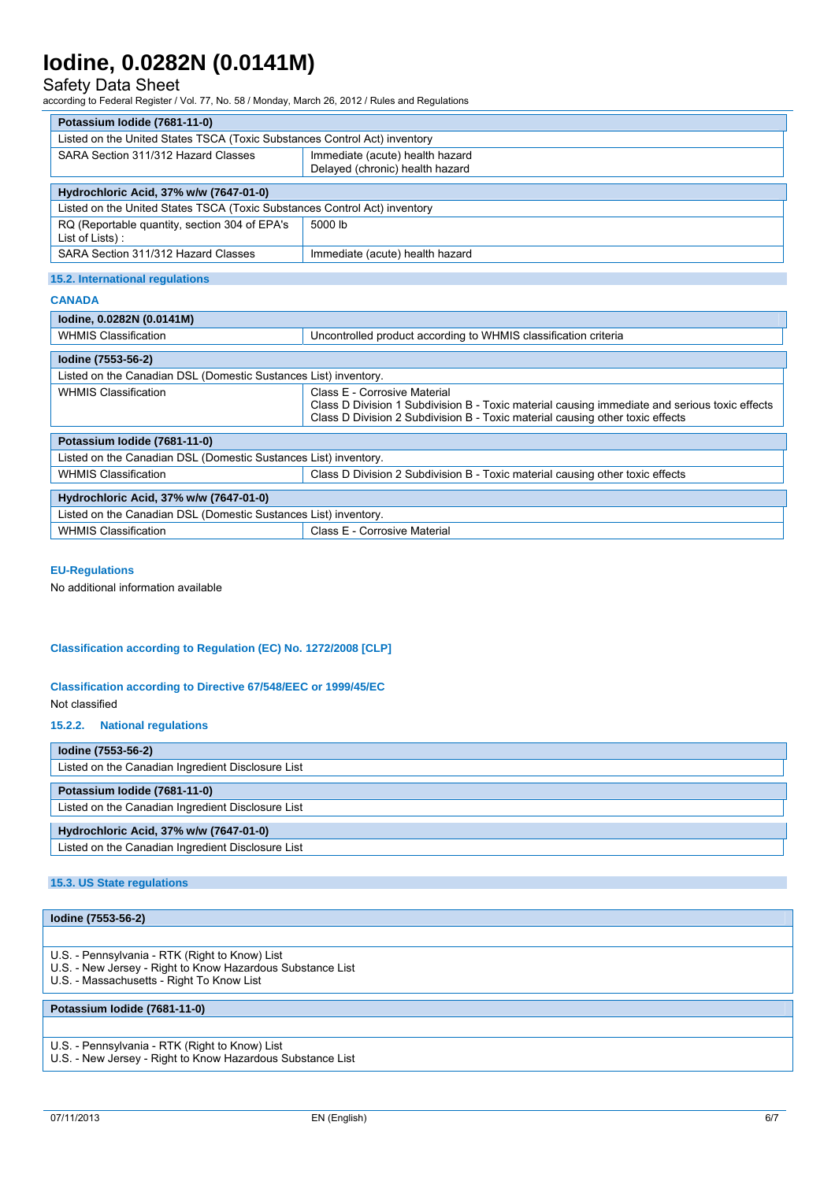## Safety Data Sheet

according to Federal Register / Vol. 77, No. 58 / Monday, March 26, 2012 / Rules and Regulations

| Potassium Iodide (7681-11-0)                                              |                                                                 |  |  |  |
|---------------------------------------------------------------------------|-----------------------------------------------------------------|--|--|--|
| Listed on the United States TSCA (Toxic Substances Control Act) inventory |                                                                 |  |  |  |
| SARA Section 311/312 Hazard Classes                                       | Immediate (acute) health hazard                                 |  |  |  |
|                                                                           | Delayed (chronic) health hazard                                 |  |  |  |
| Hydrochloric Acid, 37% w/w (7647-01-0)                                    |                                                                 |  |  |  |
| Listed on the United States TSCA (Toxic Substances Control Act) inventory |                                                                 |  |  |  |
| RQ (Reportable quantity, section 304 of EPA's<br>List of Lists):          | 5000 lb                                                         |  |  |  |
| SARA Section 311/312 Hazard Classes                                       | Immediate (acute) health hazard                                 |  |  |  |
| 15.2. International regulations<br><b>CANADA</b>                          |                                                                 |  |  |  |
| lodine, 0.0282N (0.0141M)                                                 |                                                                 |  |  |  |
| <b>WHMIS Classification</b>                                               | Uncontrolled product according to WHMIS classification criteria |  |  |  |

| lodine (7553-56-2)                                              |                                                                                                                                                                                                                |  |  |  |
|-----------------------------------------------------------------|----------------------------------------------------------------------------------------------------------------------------------------------------------------------------------------------------------------|--|--|--|
| Listed on the Canadian DSL (Domestic Sustances List) inventory. |                                                                                                                                                                                                                |  |  |  |
| <b>WHMIS Classification</b>                                     | Class E - Corrosive Material<br>Class D Division 1 Subdivision B - Toxic material causing immediate and serious toxic effects<br>Class D Division 2 Subdivision B - Toxic material causing other toxic effects |  |  |  |
|                                                                 |                                                                                                                                                                                                                |  |  |  |
| Potassium lodide (7681-11-0)                                    |                                                                                                                                                                                                                |  |  |  |
| Listed on the Canadian DSL (Domestic Sustances List) inventory. |                                                                                                                                                                                                                |  |  |  |
| <b>WHMIS Classification</b>                                     | Class D Division 2 Subdivision B - Toxic material causing other toxic effects                                                                                                                                  |  |  |  |
|                                                                 |                                                                                                                                                                                                                |  |  |  |
| Hydrochloric Acid, 37% w/w (7647-01-0)                          |                                                                                                                                                                                                                |  |  |  |
| Listed on the Canadian DSL (Domestic Sustances List) inventory. |                                                                                                                                                                                                                |  |  |  |
| <b>WHMIS Classification</b>                                     | Class E - Corrosive Material                                                                                                                                                                                   |  |  |  |

#### **EU-Regulations**

No additional information available

#### **Classification according to Regulation (EC) No. 1272/2008 [CLP]**

### **Classification according to Directive 67/548/EEC or 1999/45/EC**

Not classified

#### **15.2.2. National regulations**

| lodine (7553-56-2)                                |
|---------------------------------------------------|
| Listed on the Canadian Ingredient Disclosure List |
| Potassium Iodide (7681-11-0)                      |
| Listed on the Canadian Ingredient Disclosure List |
| Hydrochloric Acid, 37% w/w (7647-01-0)            |
| Listed on the Canadian Ingredient Disclosure List |

#### **15.3. US State regulations**

### **Iodine (7553-56-2)**

- U.S. Pennsylvania RTK (Right to Know) List
- U.S. New Jersey Right to Know Hazardous Substance List
- U.S. Massachusetts Right To Know List

#### **Potassium Iodide (7681-11-0)**

- U.S. Pennsylvania RTK (Right to Know) List
- U.S. New Jersey Right to Know Hazardous Substance List